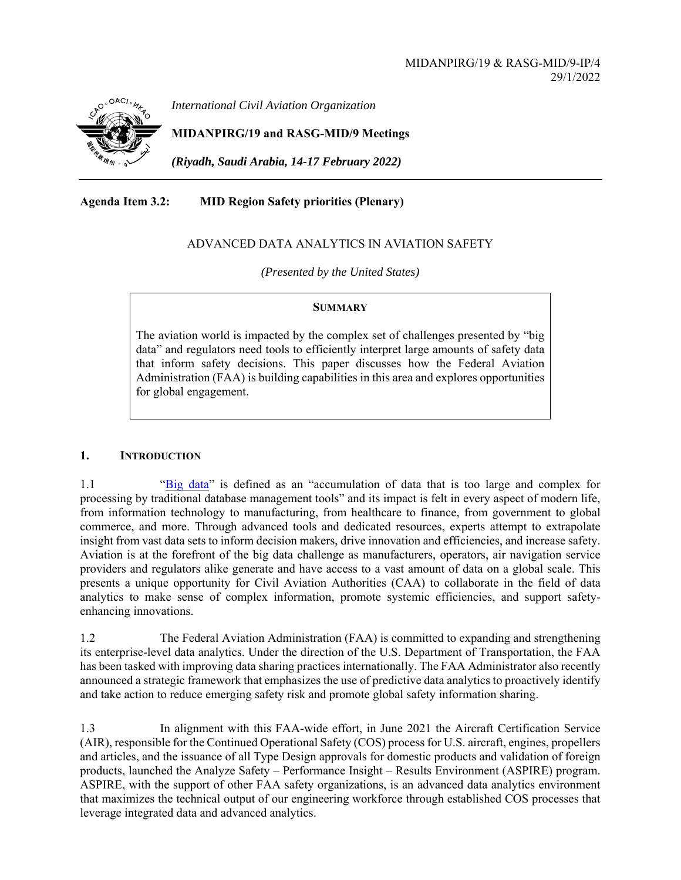

*International Civil Aviation Organization*

**MIDANPIRG/19 and RASG-MID/9 Meetings** 

*(Riyadh, Saudi Arabia, 14-17 February 2022)* 

**Agenda Item 3.2: MID Region Safety priorities (Plenary)** 

# ADVANCED DATA ANALYTICS IN AVIATION SAFETY

*(Presented by the United States)* 

#### **SUMMARY**

The aviation world is impacted by the complex set of challenges presented by "big data" and regulators need tools to efficiently interpret large amounts of safety data that inform safety decisions. This paper discusses how the Federal Aviation Administration (FAA) is building capabilities in this area and explores opportunities for global engagement.

### **1. INTRODUCTION**

1.1 "Big data" is defined as an "accumulation of data that is too large and complex for processing by traditional database management tools" and its impact is felt in every aspect of modern life, from information technology to manufacturing, from healthcare to finance, from government to global commerce, and more. Through advanced tools and dedicated resources, experts attempt to extrapolate insight from vast data sets to inform decision makers, drive innovation and efficiencies, and increase safety. Aviation is at the forefront of the big data challenge as manufacturers, operators, air navigation service providers and regulators alike generate and have access to a vast amount of data on a global scale. This presents a unique opportunity for Civil Aviation Authorities (CAA) to collaborate in the field of data analytics to make sense of complex information, promote systemic efficiencies, and support safetyenhancing innovations.

1.2 The Federal Aviation Administration (FAA) is committed to expanding and strengthening its enterprise-level data analytics. Under the direction of the U.S. Department of Transportation, the FAA has been tasked with improving data sharing practices internationally. The FAA Administrator also recently announced a strategic framework that emphasizes the use of predictive data analytics to proactively identify and take action to reduce emerging safety risk and promote global safety information sharing.

1.3 In alignment with this FAA-wide effort, in June 2021 the Aircraft Certification Service (AIR), responsible for the Continued Operational Safety (COS) process for U.S. aircraft, engines, propellers and articles, and the issuance of all Type Design approvals for domestic products and validation of foreign products, launched the Analyze Safety – Performance Insight – Results Environment (ASPIRE) program. ASPIRE, with the support of other FAA safety organizations, is an advanced data analytics environment that maximizes the technical output of our engineering workforce through established COS processes that leverage integrated data and advanced analytics.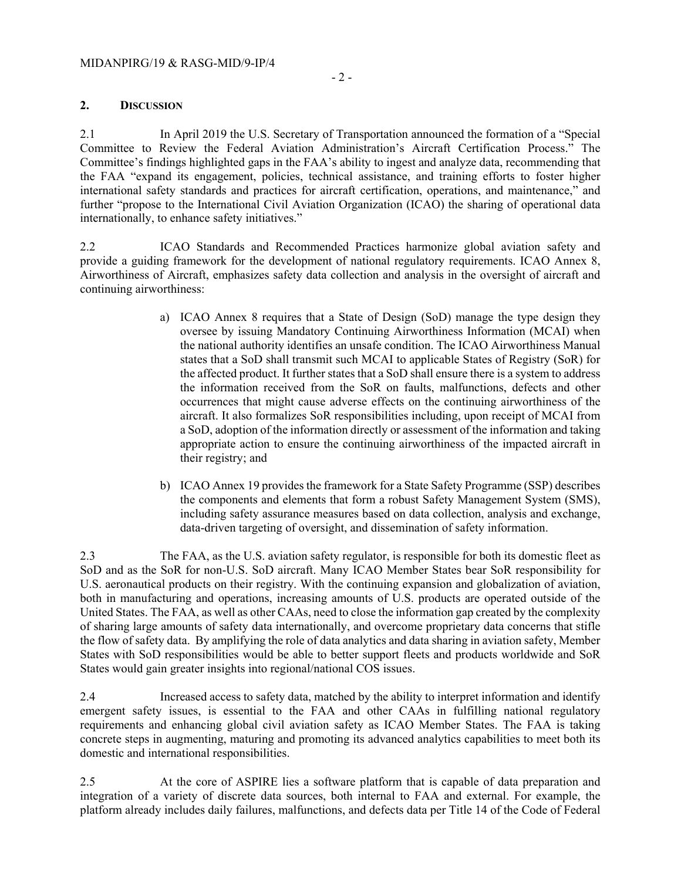# **2. DISCUSSION**

2.1 In April 2019 the U.S. Secretary of Transportation announced the formation of a "Special Committee to Review the Federal Aviation Administration's Aircraft Certification Process." The Committee's findings highlighted gaps in the FAA's ability to ingest and analyze data, recommending that the FAA "expand its engagement, policies, technical assistance, and training efforts to foster higher international safety standards and practices for aircraft certification, operations, and maintenance," and further "propose to the International Civil Aviation Organization (ICAO) the sharing of operational data internationally, to enhance safety initiatives."

2.2 ICAO Standards and Recommended Practices harmonize global aviation safety and provide a guiding framework for the development of national regulatory requirements. ICAO Annex 8, Airworthiness of Aircraft, emphasizes safety data collection and analysis in the oversight of aircraft and continuing airworthiness:

- a) ICAO Annex 8 requires that a State of Design (SoD) manage the type design they oversee by issuing Mandatory Continuing Airworthiness Information (MCAI) when the national authority identifies an unsafe condition. The ICAO Airworthiness Manual states that a SoD shall transmit such MCAI to applicable States of Registry (SoR) for the affected product. It further states that a SoD shall ensure there is a system to address the information received from the SoR on faults, malfunctions, defects and other occurrences that might cause adverse effects on the continuing airworthiness of the aircraft. It also formalizes SoR responsibilities including, upon receipt of MCAI from a SoD, adoption of the information directly or assessment of the information and taking appropriate action to ensure the continuing airworthiness of the impacted aircraft in their registry; and
- b) ICAO Annex 19 provides the framework for a State Safety Programme (SSP) describes the components and elements that form a robust Safety Management System (SMS), including safety assurance measures based on data collection, analysis and exchange, data-driven targeting of oversight, and dissemination of safety information.

2.3 The FAA, as the U.S. aviation safety regulator, is responsible for both its domestic fleet as SoD and as the SoR for non-U.S. SoD aircraft. Many ICAO Member States bear SoR responsibility for U.S. aeronautical products on their registry. With the continuing expansion and globalization of aviation, both in manufacturing and operations, increasing amounts of U.S. products are operated outside of the United States. The FAA, as well as other CAAs, need to close the information gap created by the complexity of sharing large amounts of safety data internationally, and overcome proprietary data concerns that stifle the flow of safety data. By amplifying the role of data analytics and data sharing in aviation safety, Member States with SoD responsibilities would be able to better support fleets and products worldwide and SoR States would gain greater insights into regional/national COS issues.

2.4 Increased access to safety data, matched by the ability to interpret information and identify emergent safety issues, is essential to the FAA and other CAAs in fulfilling national regulatory requirements and enhancing global civil aviation safety as ICAO Member States. The FAA is taking concrete steps in augmenting, maturing and promoting its advanced analytics capabilities to meet both its domestic and international responsibilities.

2.5 At the core of ASPIRE lies a software platform that is capable of data preparation and integration of a variety of discrete data sources, both internal to FAA and external. For example, the platform already includes daily failures, malfunctions, and defects data per Title 14 of the Code of Federal